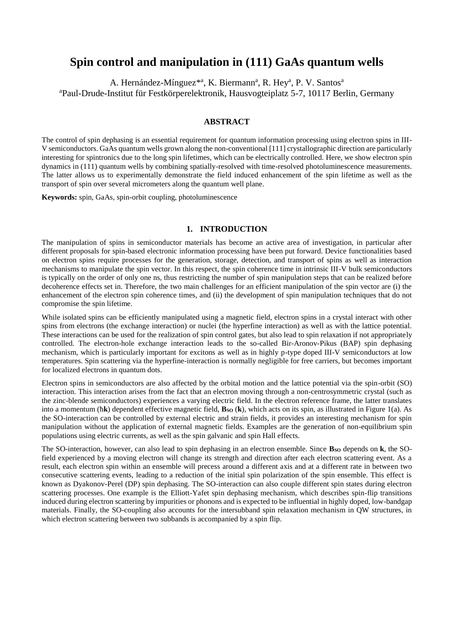# **Spin control and manipulation in (111) GaAs quantum wells**

A. Hernández-Mínguez\*<sup>a</sup>, K. Biermann<sup>a</sup>, R. Hey<sup>a</sup>, P. V. Santos<sup>a</sup> <sup>a</sup>Paul-Drude-Institut für Festkörperelektronik, Hausvogteiplatz 5-7, 10117 Berlin, Germany

## **ABSTRACT**

The control of spin dephasing is an essential requirement for quantum information processing using electron spins in III-V semiconductors. GaAs quantum wells grown along the non-conventional [111] crystallographic direction are particularly interesting for spintronics due to the long spin lifetimes, which can be electrically controlled. Here, we show electron spin dynamics in (111) quantum wells by combining spatially-resolved with time-resolved photoluminescence measurements. The latter allows us to experimentally demonstrate the field induced enhancement of the spin lifetime as well as the transport of spin over several micrometers along the quantum well plane.

**Keywords:** spin, GaAs, spin-orbit coupling, photoluminescence

## **1. INTRODUCTION**

The manipulation of spins in semiconductor materials has become an active area of investigation, in particular after different proposals for spin-based electronic information processing have been put forward. Device functionalities based on electron spins require processes for the generation, storage, detection, and transport of spins as well as interaction mechanisms to manipulate the spin vector. In this respect, the spin coherence time in intrinsic III-V bulk semiconductors is typically on the order of only one ns, thus restricting the number of spin manipulation steps that can be realized before decoherence effects set in. Therefore, the two main challenges for an efficient manipulation of the spin vector are (i) the enhancement of the electron spin coherence times, and (ii) the development of spin manipulation techniques that do not compromise the spin lifetime.

While isolated spins can be efficiently manipulated using a magnetic field, electron spins in a crystal interact with other spins from electrons (the exchange interaction) or nuclei (the hyperfine interaction) as well as with the lattice potential. These interactions can be used for the realization of spin control gates, but also lead to spin relaxation if not appropriately controlled. The electron-hole exchange interaction leads to the so-called Bir-Aronov-Pikus (BAP) spin dephasing mechanism, which is particularly important for excitons as well as in highly p-type doped III-V semiconductors at low temperatures. Spin scattering via the hyperfine-interaction is normally negligible for free carriers, but becomes important for localized electrons in quantum dots.

Electron spins in semiconductors are also affected by the orbital motion and the lattice potential via the spin-orbit (SO) interaction. This interaction arises from the fact that an electron moving through a non-centrosymmetric crystal (such as the zinc-blende semiconductors) experiences a varying electric field. In the electron reference frame, the latter translates into a momentum (hk) dependent effective magnetic field, **B**<sub>sO</sub> (k), which acts on its spin, as illustrated in Figure 1(a). As the SO-interaction can be controlled by external electric and strain fields, it provides an interesting mechanism for spin manipulation without the application of external magnetic fields. Examples are the generation of non-equilibrium spin populations using electric currents, as well as the spin galvanic and spin Hall effects.

The SO-interaction, however, can also lead to spin dephasing in an electron ensemble. Since **BSO** depends on **k**, the SOfield experienced by a moving electron will change its strength and direction after each electron scattering event. As a result, each electron spin within an ensemble will precess around a different axis and at a different rate in between two consecutive scattering events, leading to a reduction of the initial spin polarization of the spin ensemble. This effect is known as Dyakonov-Perel (DP) spin dephasing. The SO-interaction can also couple different spin states during electron scattering processes. One example is the Elliott-Yafet spin dephasing mechanism, which describes spin-flip transitions induced during electron scattering by impurities or phonons and is expected to be influential in highly doped, low-bandgap materials. Finally, the SO-coupling also accounts for the intersubband spin relaxation mechanism in QW structures, in which electron scattering between two subbands is accompanied by a spin flip.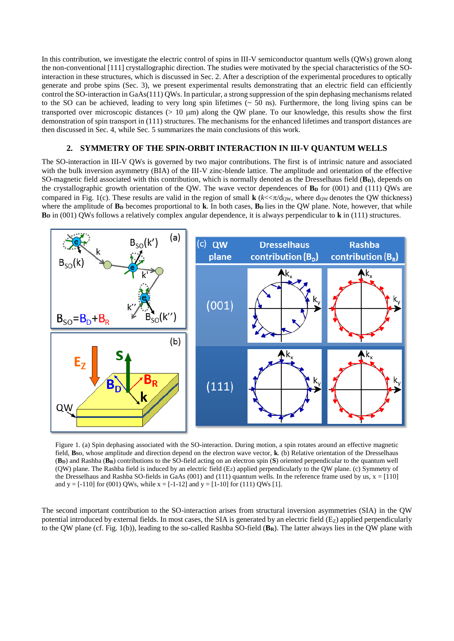In this contribution, we investigate the electric control of spins in III-V semiconductor quantum wells (QWs) grown along the non-conventional [111] crystallographic direction. The studies were motivated by the special characteristics of the SOinteraction in these structures, which is discussed in Sec. 2. After a description of the experimental procedures to optically generate and probe spins (Sec. 3), we present experimental results demonstrating that an electric field can efficiently control the SO-interaction in GaAs(111) QWs. In particular, a strong suppression of the spin dephasing mechanisms related to the SO can be achieved, leading to very long spin lifetimes (~ 50 ns). Furthermore, the long living spins can be transported over microscopic distances ( $> 10 \mu m$ ) along the QW plane. To our knowledge, this results show the first demonstration of spin transport in (111) structures. The mechanisms for the enhanced lifetimes and transport distances are then discussed in Sec. 4, while Sec. 5 summarizes the main conclusions of this work.

## **2. SYMMETRY OF THE SPIN-ORBIT INTERACTION IN III-V QUANTUM WELLS**

The SO-interaction in III-V QWs is governed by two major contributions. The first is of intrinsic nature and associated with the bulk inversion asymmetry (BIA) of the III-V zinc-blende lattice. The amplitude and orientation of the effective SO-magnetic field associated with this contribution, which is normally denoted as the Dresselhaus field (**BD**), depends on the crystallographic growth orientation of the QW. The wave vector dependences of **B<sup>D</sup>** for (001) and (111) QWs are compared in Fig. 1(c). These results are valid in the region of small  $\mathbf{k}$  ( $k \ll \pi / d_{\text{QW}}$ , where  $d_{\text{QW}}$  denotes the QW thickness) where the amplitude of **B**<sub>D</sub> becomes proportional to **k**. In both cases, **B**<sub>D</sub> lies in the QW plane. Note, however, that while **B<sup>D</sup>** in (001) QWs follows a relatively complex angular dependence, it is always perpendicular to **k** in (111) structures.



Figure 1. (a) Spin dephasing associated with the SO-interaction. During motion, a spin rotates around an effective magnetic field, **BSO**, whose amplitude and direction depend on the electron wave vector, **k**. (b) Relative orientation of the Dresselhaus (**BD**) and Rashba (**BR**) contributions to the SO-field acting on an electron spin (**S**) oriented perpendicular to the quantum well (QW) plane. The Rashba field is induced by an electric field (EZ) applied perpendicularly to the QW plane. (c) Symmetry of the Dresselhaus and Rashba SO-fields in GaAs (001) and (111) quantum wells. In the reference frame used by us,  $x = [110]$ and  $y = [-110]$  for (001) QWs, while  $x = [-1-12]$  and  $y = [1-10]$  for (111) QWs [1].

The second important contribution to the SO-interaction arises from structural inversion asymmetries (SIA) in the QW potential introduced by external fields. In most cases, the SIA is generated by an electric field  $(E<sub>Z</sub>)$  applied perpendicularly to the QW plane (cf. Fig. 1(b)), leading to the so-called Rashba SO-field (**BR**). The latter always lies in the QW plane with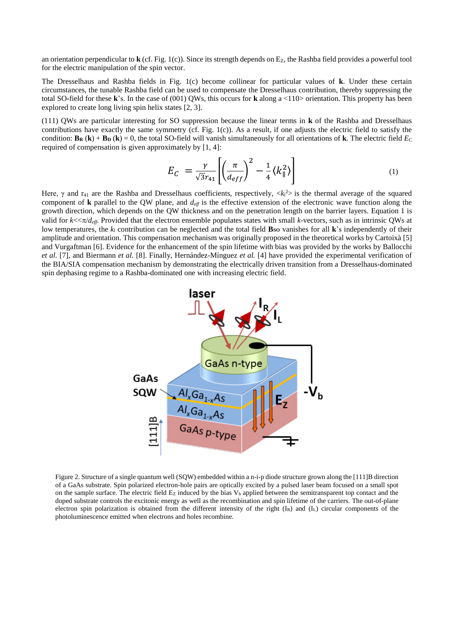an orientation perpendicular to  $\bf{k}$  (cf. Fig. 1(c)). Since its strength depends on  $E_z$ , the Rashba field provides a powerful tool for the electric manipulation of the spin vector.

The Dresselhaus and Rashba fields in Fig. 1(c) become collinear for particular values of **k**. Under these certain circumstances, the tunable Rashba field can be used to compensate the Dresselhaus contribution, thereby suppressing the total SO**-**field for these **k**'s. In the case of (001) QWs, this occurs for **k** along a <110> orientation. This property has been explored to create long living spin helix states [2, 3].

(111) QWs are particular interesting for SO suppression because the linear terms in **k** of the Rashba and Dresselhaus contributions have exactly the same symmetry (cf. Fig.  $1(c)$ ). As a result, if one adjusts the electric field to satisfy the condition:  $\mathbf{B}_R(\mathbf{k}) + \mathbf{B}_D(\mathbf{k}) = 0$ , the total SO-field will vanish simultaneously for all orientations of **k**. The electric field  $E_C$ required of compensation is given approximately by [1, 4]:

$$
E_C = \frac{\gamma}{\sqrt{3}r_{41}} \left[ \left( \frac{\pi}{d_{eff}} \right)^2 - \frac{1}{4} \langle k_{\parallel}^2 \rangle \right] \tag{1}
$$

Here,  $\gamma$  and r<sub>41</sub> are the Rashba and Dresselhaus coefficients, respectively,  $\langle k_1^2 \rangle$  is the thermal average of the squared component of **k** parallel to the QW plane, and  $d_{\text{eff}}$  is the effective extension of the electronic wave function along the growth direction, which depends on the QW thickness and on the penetration length on the barrier layers. Equation 1 is valid for  $k \ll \pi/d_{\text{eff}}$ . Provided that the electron ensemble populates states with small *k*-vectors, such as in intrinsic QWs at low temperatures, the  $k_{\parallel}$  contribution can be neglected and the total field **B**so vanishes for all **k**'s independently of their amplitude and orientation. This compensation mechanism was originally proposed in the theoretical works by Cartoixà [5] and Vurgaftman [6]. Evidence for the enhancement of the spin lifetime with bias was provided by the works by Ballocchi *et al.* [7], and Biermann *et al.* [8]. Finally, Hernández-Mínguez *et al.* [4] have provided the experimental verification of the BIA/SIA compensation mechanism by demonstrating the electrically driven transition from a Dresselhaus-dominated spin dephasing regime to a Rashba-dominated one with increasing electric field.



Figure 2. Structure of a single quantum well (SQW) embedded within a n-i-p diode structure grown along the [111]B direction of a GaAs substrate. Spin polarized electron-hole pairs are optically excited by a pulsed laser beam focused on a small spot on the sample surface. The electric field  $E_z$  induced by the bias  $V_b$  applied between the semitransparent top contact and the doped substrate controls the excitonic energy as well as the recombination and spin lifetime of the carriers. The out-of-plane electron spin polarization is obtained from the different intensity of the right (I<sub>R</sub>) and (I<sub>L</sub>) circular components of the photoluminescence emitted when electrons and holes recombine.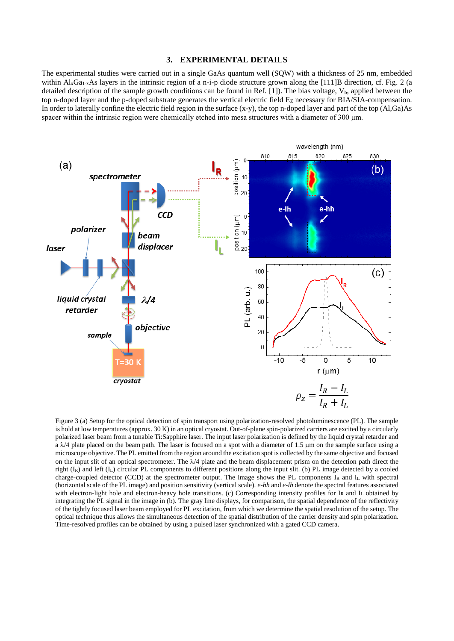#### **3. EXPERIMENTAL DETAILS**

The experimental studies were carried out in a single GaAs quantum well (SQW) with a thickness of 25 nm, embedded within  $\text{Al}_x\text{Ga}_{1-x}\text{As}$  layers in the intrinsic region of a n-i-p diode structure grown along the [111]B direction, cf. Fig. 2 (a detailed description of the sample growth conditions can be found in Ref.  $[1]$ ). The bias voltage,  $V<sub>b</sub>$ , applied between the top n-doped layer and the p-doped substrate generates the vertical electric field Ez necessary for BIA/SIA-compensation. In order to laterally confine the electric field region in the surface (x-y), the top n-doped layer and part of the top (Al,Ga)As spacer within the intrinsic region were chemically etched into mesa structures with a diameter of 300 μm.



Figure 3 (a) Setup for the optical detection of spin transport using polarization-resolved photoluminescence (PL). The sample is hold at low temperatures (approx. 30 K) in an optical cryostat. Out-of-plane spin-polarized carriers are excited by a circularly polarized laser beam from a tunable Ti:Sapphire laser. The input laser polarization is defined by the liquid crystal retarder and a  $\lambda$ /4 plate placed on the beam path. The laser is focused on a spot with a diameter of 1.5  $\mu$ m on the sample surface using a microscope objective. The PL emitted from the region around the excitation spot is collected by the same objective and focused on the input slit of an optical spectrometer. The  $\lambda/4$  plate and the beam displacement prism on the detection path direct the right (IR) and left (IL) circular PL components to different positions along the input slit. (b) PL image detected by a cooled charge-coupled detector (CCD) at the spectrometer output. The image shows the PL components I<sup>R</sup> and I<sup>L</sup> with spectral (horizontal scale of the PL image) and position sensitivity (vertical scale). *e-hh* and *e-lh* denote the spectral features associated with electron-light hole and electron-heavy hole transitions. (c) Corresponding intensity profiles for IR and IL obtained by integrating the PL signal in the image in (b). The gray line displays, for comparison, the spatial dependence of the reflectivity of the tightly focused laser beam employed for PL excitation, from which we determine the spatial resolution of the setup. The optical technique thus allows the simultaneous detection of the spatial distribution of the carrier density and spin polarization. Time-resolved profiles can be obtained by using a pulsed laser synchronized with a gated CCD camera.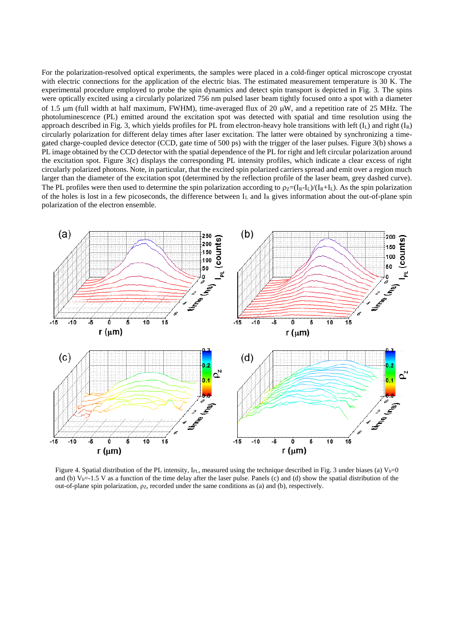For the polarization-resolved optical experiments, the samples were placed in a cold-finger optical microscope cryostat with electric connections for the application of the electric bias. The estimated measurement temperature is 30 K. The experimental procedure employed to probe the spin dynamics and detect spin transport is depicted in Fig. 3. The spins were optically excited using a circularly polarized 756 nm pulsed laser beam tightly focused onto a spot with a diameter of 1.5  $\mu$ m (full width at half maximum, FWHM), time-averaged flux of 20  $\mu$ W, and a repetition rate of 25 MHz. The photoluminescence (PL) emitted around the excitation spot was detected with spatial and time resolution using the approach described in Fig. 3, which yields profiles for PL from electron-heavy hole transitions with left  $(I_L)$  and right  $(I_R)$ circularly polarization for different delay times after laser excitation. The latter were obtained by synchronizing a timegated charge-coupled device detector (CCD, gate time of 500 ps) with the trigger of the laser pulses. Figure 3(b) shows a PL image obtained by the CCD detector with the spatial dependence of the PL for right and left circular polarization around the excitation spot. Figure 3(c) displays the corresponding PL intensity profiles, which indicate a clear excess of right circularly polarized photons. Note, in particular, that the excited spin polarized carriers spread and emit over a region much larger than the diameter of the excitation spot (determined by the reflection profile of the laser beam, grey dashed curve). The PL profiles were then used to determine the spin polarization according to  $p_Z=(I_R-I_L)/(I_R+I_L)$ . As the spin polarization of the holes is lost in a few picoseconds, the difference between  $I_L$  and  $I_R$  gives information about the out-of-plane spin polarization of the electron ensemble.



Figure 4. Spatial distribution of the PL intensity, I<sub>PL</sub>, measured using the technique described in Fig. 3 under biases (a)  $V_b=0$ and (b)  $V_{b}$ =-1.5 V as a function of the time delay after the laser pulse. Panels (c) and (d) show the spatial distribution of the out-of-plane spin polarization,  $ρz$ , recorded under the same conditions as (a) and (b), respectively.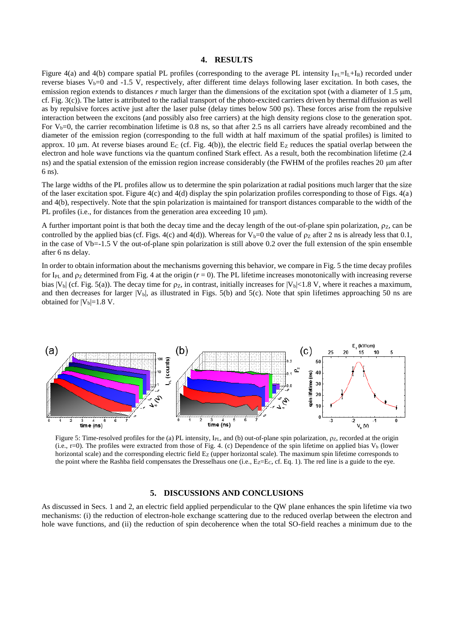#### **4. RESULTS**

Figure 4(a) and 4(b) compare spatial PL profiles (corresponding to the average PL intensity  $I_{PL}=I_L+I_R$ ) recorded under reverse biases  $V_b$ =0 and -1.5 V, respectively, after different time delays following laser excitation. In both cases, the emission region extends to distances *r* much larger than the dimensions of the excitation spot (with a diameter of 1.5 µm, cf. Fig. 3(c)). The latter is attributed to the radial transport of the photo-excited carriers driven by thermal diffusion as well as by repulsive forces active just after the laser pulse (delay times below 500 ps). These forces arise from the repulsive interaction between the excitons (and possibly also free carriers) at the high density regions close to the generation spot. For  $V_b=0$ , the carrier recombination lifetime is 0.8 ns, so that after 2.5 ns all carriers have already recombined and the diameter of the emission region (corresponding to the full width at half maximum of the spatial profiles) is limited to approx. 10  $\mu$ m. At reverse biases around E<sub>C</sub> (cf. Fig. 4(b)), the electric field E<sub>Z</sub> reduces the spatial overlap between the electron and hole wave functions via the quantum confined Stark effect. As a result, both the recombination lifetime (2.4 ns) and the spatial extension of the emission region increase considerably (the FWHM of the profiles reaches 20 µm after 6 ns).

The large widths of the PL profiles allow us to determine the spin polarization at radial positions much larger that the size of the laser excitation spot. Figure 4(c) and 4(d) display the spin polarization profiles corresponding to those of Figs. 4(a) and 4(b), respectively. Note that the spin polarization is maintained for transport distances comparable to the width of the PL profiles (i.e., for distances from the generation area exceeding 10 µm).

A further important point is that both the decay time and the decay length of the out-of-plane spin polarization,  $\rho_z$ , can be controlled by the applied bias (cf. Figs. 4(c) and 4(d)). Whereas for  $V_b=0$  the value of  $\rho_z$  after 2 ns is already less that 0.1, in the case of Vb=-1.5 V the out-of-plane spin polarization is still above 0.2 over the full extension of the spin ensemble after 6 ns delay.

In order to obtain information about the mechanisms governing this behavior, we compare in Fig. 5 the time decay profiles for I<sub>PL</sub> and  $\rho$ <sub>Z</sub> determined from Fig. 4 at the origin ( $r = 0$ ). The PL lifetime increases monotonically with increasing reverse bias  $|V_b|$  (cf. Fig. 5(a)). The decay time for  $\rho_z$ , in contrast, initially increases for  $|V_b|$ <1.8 V, where it reaches a maximum, and then decreases for larger  $|V_b|$ , as illustrated in Figs. 5(b) and 5(c). Note that spin lifetimes approaching 50 ns are obtained for  $|V_b|=1.8$  V.



Figure 5: Time-resolved profiles for the (a) PL intensity, I<sub>PL</sub>, and (b) out-of-plane spin polarization,  $\rho z$ , recorded at the origin (i.e., r=0). The profiles were extracted from those of Fig. 4. (c) Dependence of the spin lifetime on applied bias  $V_b$  (lower horizontal scale) and the corresponding electric field Ez (upper horizontal scale). The maximum spin lifetime corresponds to the point where the Rashba field compensates the Dresselhaus one (i.e., Ez=Ec, cf. Eq. 1). The red line is a guide to the eye.

#### **5. DISCUSSIONS AND CONCLUSIONS**

As discussed in Secs. 1 and 2, an electric field applied perpendicular to the QW plane enhances the spin lifetime via two mechanisms: (i) the reduction of electron-hole exchange scattering due to the reduced overlap between the electron and hole wave functions, and (ii) the reduction of spin decoherence when the total SO-field reaches a minimum due to the